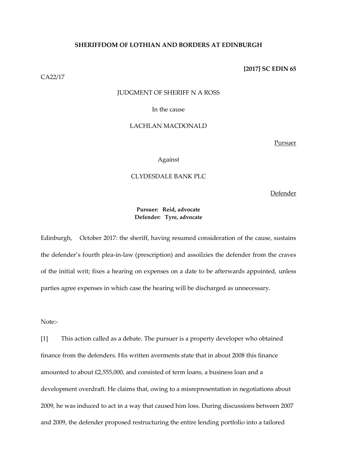# **SHERIFFDOM OF LOTHIAN AND BORDERS AT EDINBURGH**

CA22/17

## **[2017] SC EDIN 65**

#### JUDGMENT OF SHERIFF N A ROSS

#### In the cause

### LACHLAN MACDONALD

Pursuer

#### Against

# CLYDESDALE BANK PLC

Defender

# **Pursuer: Reid, advocate Defender: Tyre, advocate**

Edinburgh, October 2017: the sheriff, having resumed consideration of the cause, sustains the defender's fourth plea-in-law (prescription) and assoilzies the defender from the craves of the initial writ; fixes a hearing on expenses on a date to be afterwards appointed, unless parties agree expenses in which case the hearing will be discharged as unnecessary.

Note:-

[1] This action called as a debate. The pursuer is a property developer who obtained finance from the defenders. His written averments state that in about 2008 this finance amounted to about £2,555,000, and consisted of term loans, a business loan and a development overdraft. He claims that, owing to a misrepresentation in negotiations about 2009, he was induced to act in a way that caused him loss. During discussions between 2007 and 2009, the defender proposed restructuring the entire lending portfolio into a tailored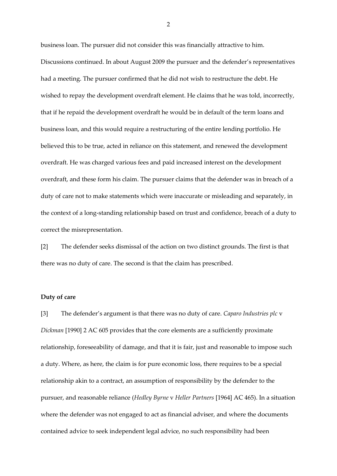business loan. The pursuer did not consider this was financially attractive to him. Discussions continued. In about August 2009 the pursuer and the defender's representatives had a meeting. The pursuer confirmed that he did not wish to restructure the debt. He wished to repay the development overdraft element. He claims that he was told, incorrectly, that if he repaid the development overdraft he would be in default of the term loans and business loan, and this would require a restructuring of the entire lending portfolio. He believed this to be true, acted in reliance on this statement, and renewed the development overdraft. He was charged various fees and paid increased interest on the development overdraft, and these form his claim. The pursuer claims that the defender was in breach of a duty of care not to make statements which were inaccurate or misleading and separately, in the context of a long-standing relationship based on trust and confidence, breach of a duty to correct the misrepresentation.

[2] The defender seeks dismissal of the action on two distinct grounds. The first is that there was no duty of care. The second is that the claim has prescribed.

#### **Duty of care**

[3] The defender's argument is that there was no duty of care. *Caparo Industries plc* v *Dickman* [1990] 2 AC 605 provides that the core elements are a sufficiently proximate relationship, foreseeability of damage, and that it is fair, just and reasonable to impose such a duty. Where, as here, the claim is for pure economic loss, there requires to be a special relationship akin to a contract, an assumption of responsibility by the defender to the pursuer, and reasonable reliance (*Hedley Byrne* v *Heller Partners* [1964] AC 465). In a situation where the defender was not engaged to act as financial adviser, and where the documents contained advice to seek independent legal advice, no such responsibility had been

 $\mathcal{P}$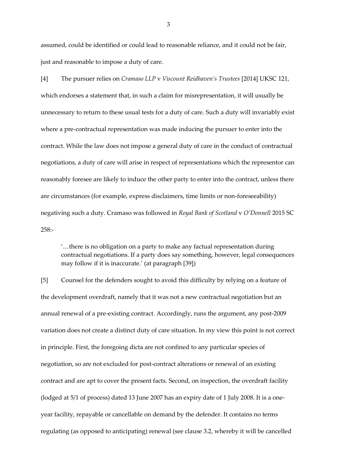assumed, could be identified or could lead to reasonable reliance, and it could not be fair, just and reasonable to impose a duty of care.

[4] The pursuer relies on *Cramaso LLP* v *Viscount Reidhaven's Trustees* [2014] UKSC 121, which endorses a statement that, in such a claim for misrepresentation, it will usually be unnecessary to return to these usual tests for a duty of care. Such a duty will invariably exist where a pre-contractual representation was made inducing the pursuer to enter into the contract. While the law does not impose a general duty of care in the conduct of contractual negotiations, a duty of care will arise in respect of representations which the representor can reasonably foresee are likely to induce the other party to enter into the contract, unless there are circumstances (for example, express disclaimers, time limits or non-foreseeability) negativing such a duty. Cramaso was followed in *Royal Bank of Scotland* v *O'Donnell* 2015 SC 258:-

'…there is no obligation on a party to make any factual representation during contractual negotiations. If a party does say something, however, legal consequences may follow if it is inaccurate.' (at paragraph [39])

[5] Counsel for the defenders sought to avoid this difficulty by relying on a feature of the development overdraft, namely that it was not a new contractual negotiation but an annual renewal of a pre-existing contract. Accordingly, runs the argument, any post-2009 variation does not create a distinct duty of care situation. In my view this point is not correct in principle. First, the foregoing dicta are not confined to any particular species of negotiation, so are not excluded for post-contract alterations or renewal of an existing contract and are apt to cover the present facts. Second, on inspection, the overdraft facility (lodged at 5/1 of process) dated 13 June 2007 has an expiry date of 1 July 2008. It is a oneyear facility, repayable or cancellable on demand by the defender. It contains no terms regulating (as opposed to anticipating) renewal (see clause 3.2, whereby it will be cancelled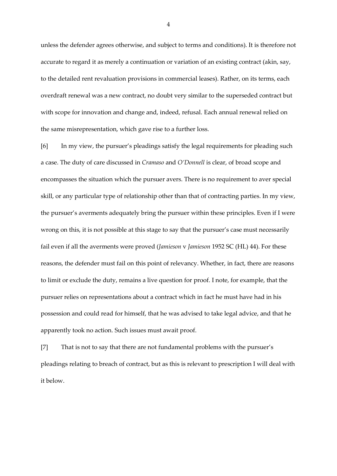unless the defender agrees otherwise, and subject to terms and conditions). It is therefore not accurate to regard it as merely a continuation or variation of an existing contract (akin, say, to the detailed rent revaluation provisions in commercial leases). Rather, on its terms, each overdraft renewal was a new contract, no doubt very similar to the superseded contract but with scope for innovation and change and, indeed, refusal. Each annual renewal relied on the same misrepresentation, which gave rise to a further loss.

[6] In my view, the pursuer's pleadings satisfy the legal requirements for pleading such a case. The duty of care discussed in *Cramaso* and *O'Donnell* is clear, of broad scope and encompasses the situation which the pursuer avers. There is no requirement to aver special skill, or any particular type of relationship other than that of contracting parties. In my view, the pursuer's averments adequately bring the pursuer within these principles. Even if I were wrong on this, it is not possible at this stage to say that the pursuer's case must necessarily fail even if all the averments were proved (*Jamieson* v *Jamieson* 1952 SC (HL) 44). For these reasons, the defender must fail on this point of relevancy. Whether, in fact, there are reasons to limit or exclude the duty, remains a live question for proof. I note, for example, that the pursuer relies on representations about a contract which in fact he must have had in his possession and could read for himself, that he was advised to take legal advice, and that he apparently took no action. Such issues must await proof.

[7] That is not to say that there are not fundamental problems with the pursuer's pleadings relating to breach of contract, but as this is relevant to prescription I will deal with it below.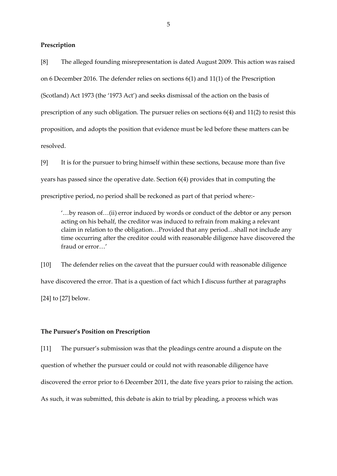# **Prescription**

[8] The alleged founding misrepresentation is dated August 2009. This action was raised on 6 December 2016. The defender relies on sections 6(1) and 11(1) of the Prescription (Scotland) Act 1973 (the '1973 Act') and seeks dismissal of the action on the basis of prescription of any such obligation. The pursuer relies on sections 6(4) and 11(2) to resist this proposition, and adopts the position that evidence must be led before these matters can be resolved.

[9] It is for the pursuer to bring himself within these sections, because more than five years has passed since the operative date. Section 6(4) provides that in computing the prescriptive period, no period shall be reckoned as part of that period where:-

'…by reason of…(ii) error induced by words or conduct of the debtor or any person acting on his behalf, the creditor was induced to refrain from making a relevant claim in relation to the obligation…Provided that any period…shall not include any time occurring after the creditor could with reasonable diligence have discovered the fraud or error…'

[10] The defender relies on the caveat that the pursuer could with reasonable diligence have discovered the error. That is a question of fact which I discuss further at paragraphs [24] to [27] below.

#### **The Pursuer's Position on Prescription**

[11] The pursuer's submission was that the pleadings centre around a dispute on the question of whether the pursuer could or could not with reasonable diligence have discovered the error prior to 6 December 2011, the date five years prior to raising the action. As such, it was submitted, this debate is akin to trial by pleading, a process which was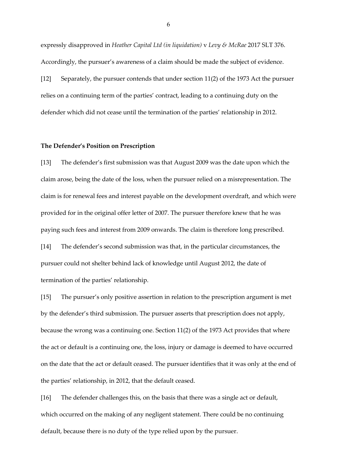expressly disapproved in *Heather Capital Ltd (in liquidation)* v *Levy & McRae* 2017 SLT 376. Accordingly, the pursuer's awareness of a claim should be made the subject of evidence. [12] Separately, the pursuer contends that under section 11(2) of the 1973 Act the pursuer relies on a continuing term of the parties' contract, leading to a continuing duty on the defender which did not cease until the termination of the parties' relationship in 2012.

#### **The Defender's Position on Prescription**

[13] The defender's first submission was that August 2009 was the date upon which the claim arose, being the date of the loss, when the pursuer relied on a misrepresentation. The claim is for renewal fees and interest payable on the development overdraft, and which were provided for in the original offer letter of 2007. The pursuer therefore knew that he was paying such fees and interest from 2009 onwards. The claim is therefore long prescribed. [14] The defender's second submission was that, in the particular circumstances, the

pursuer could not shelter behind lack of knowledge until August 2012, the date of termination of the parties' relationship.

[15] The pursuer's only positive assertion in relation to the prescription argument is met by the defender's third submission. The pursuer asserts that prescription does not apply, because the wrong was a continuing one. Section 11(2) of the 1973 Act provides that where the act or default is a continuing one, the loss, injury or damage is deemed to have occurred on the date that the act or default ceased. The pursuer identifies that it was only at the end of the parties' relationship, in 2012, that the default ceased.

[16] The defender challenges this, on the basis that there was a single act or default, which occurred on the making of any negligent statement. There could be no continuing default, because there is no duty of the type relied upon by the pursuer.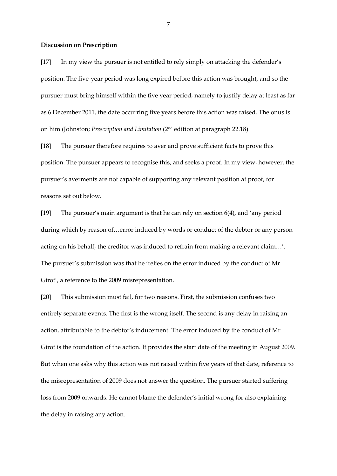#### **Discussion on Prescription**

[17] In my view the pursuer is not entitled to rely simply on attacking the defender's position. The five-year period was long expired before this action was brought, and so the pursuer must bring himself within the five year period, namely to justify delay at least as far as 6 December 2011, the date occurring five years before this action was raised. The onus is on him (Johnston; *Prescription and Limitation* (2nd edition at paragraph 22.18).

[18] The pursuer therefore requires to aver and prove sufficient facts to prove this position. The pursuer appears to recognise this, and seeks a proof. In my view, however, the pursuer's averments are not capable of supporting any relevant position at proof, for reasons set out below.

[19] The pursuer's main argument is that he can rely on section 6(4), and 'any period during which by reason of…error induced by words or conduct of the debtor or any person acting on his behalf, the creditor was induced to refrain from making a relevant claim…'. The pursuer's submission was that he 'relies on the error induced by the conduct of Mr Girot', a reference to the 2009 misrepresentation.

[20] This submission must fail, for two reasons. First, the submission confuses two entirely separate events. The first is the wrong itself. The second is any delay in raising an action, attributable to the debtor's inducement. The error induced by the conduct of Mr Girot is the foundation of the action. It provides the start date of the meeting in August 2009. But when one asks why this action was not raised within five years of that date, reference to the misrepresentation of 2009 does not answer the question. The pursuer started suffering loss from 2009 onwards. He cannot blame the defender's initial wrong for also explaining the delay in raising any action.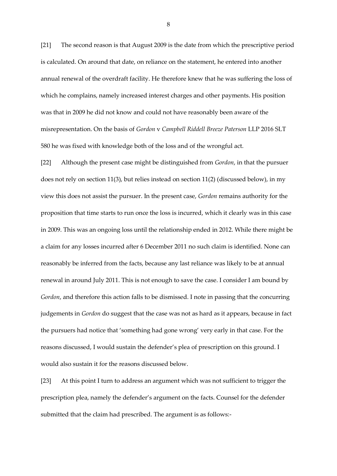[21] The second reason is that August 2009 is the date from which the prescriptive period is calculated. On around that date, on reliance on the statement, he entered into another annual renewal of the overdraft facility. He therefore knew that he was suffering the loss of which he complains, namely increased interest charges and other payments. His position was that in 2009 he did not know and could not have reasonably been aware of the misrepresentation. On the basis of *Gordon* v *Campbell Riddell Breeze Paterson* LLP 2016 SLT 580 he was fixed with knowledge both of the loss and of the wrongful act.

[22] Although the present case might be distinguished from *Gordon*, in that the pursuer does not rely on section 11(3), but relies instead on section 11(2) (discussed below), in my view this does not assist the pursuer. In the present case, *Gordon* remains authority for the proposition that time starts to run once the loss is incurred, which it clearly was in this case in 2009. This was an ongoing loss until the relationship ended in 2012. While there might be a claim for any losses incurred after 6 December 2011 no such claim is identified. None can reasonably be inferred from the facts, because any last reliance was likely to be at annual renewal in around July 2011. This is not enough to save the case. I consider I am bound by *Gordon*, and therefore this action falls to be dismissed. I note in passing that the concurring judgements in *Gordon* do suggest that the case was not as hard as it appears, because in fact the pursuers had notice that 'something had gone wrong' very early in that case. For the reasons discussed, I would sustain the defender's plea of prescription on this ground. I would also sustain it for the reasons discussed below.

[23] At this point I turn to address an argument which was not sufficient to trigger the prescription plea, namely the defender's argument on the facts. Counsel for the defender submitted that the claim had prescribed. The argument is as follows:-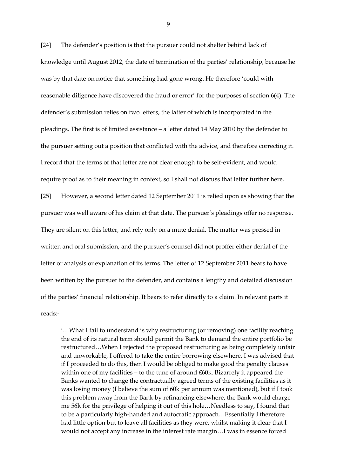[24] The defender's position is that the pursuer could not shelter behind lack of knowledge until August 2012, the date of termination of the parties' relationship, because he was by that date on notice that something had gone wrong. He therefore 'could with reasonable diligence have discovered the fraud or error' for the purposes of section 6(4). The defender's submission relies on two letters, the latter of which is incorporated in the pleadings. The first is of limited assistance – a letter dated 14 May 2010 by the defender to the pursuer setting out a position that conflicted with the advice, and therefore correcting it. I record that the terms of that letter are not clear enough to be self-evident, and would require proof as to their meaning in context, so I shall not discuss that letter further here. [25] However, a second letter dated 12 September 2011 is relied upon as showing that the pursuer was well aware of his claim at that date. The pursuer's pleadings offer no response. They are silent on this letter, and rely only on a mute denial. The matter was pressed in written and oral submission, and the pursuer's counsel did not proffer either denial of the letter or analysis or explanation of its terms. The letter of 12 September 2011 bears to have been written by the pursuer to the defender, and contains a lengthy and detailed discussion of the parties' financial relationship. It bears to refer directly to a claim. In relevant parts it reads:-

'…What I fail to understand is why restructuring (or removing) one facility reaching the end of its natural term should permit the Bank to demand the entire portfolio be restructured…When I rejected the proposed restructuring as being completely unfair and unworkable, I offered to take the entire borrowing elsewhere. I was advised that if I proceeded to do this, then I would be obliged to make good the penalty clauses within one of my facilities – to the tune of around  $£60k$ . Bizarrely it appeared the Banks wanted to change the contractually agreed terms of the existing facilities as it was losing money (I believe the sum of 60k per annum was mentioned), but if I took this problem away from the Bank by refinancing elsewhere, the Bank would charge me 56k for the privilege of helping it out of this hole…Needless to say, I found that to be a particularly high-handed and autocratic approach…Essentially I therefore had little option but to leave all facilities as they were, whilst making it clear that I would not accept any increase in the interest rate margin…I was in essence forced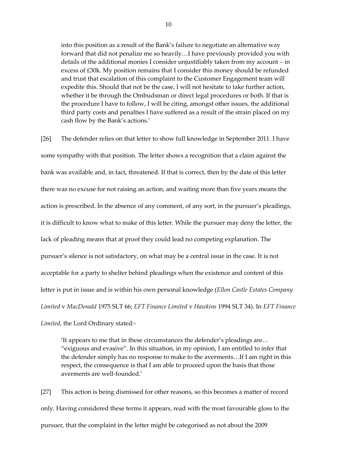into this position as a result of the Bank's failure to negotiate an alternative way forward that did not penalize me so heavily…I have previously provided you with details of the additional monies I consider unjustifiably taken from my account – in excess of £30k. My position remains that I consider this money should be refunded and trust that escalation of this complaint to the Customer Engagement team will expedite this. Should that not be the case, I will not hesitate to take further action, whether it be through the Ombudsman or direct legal procedures or both. If that is the procedure I have to follow, I will be citing, amongst other issues, the additional third party costs and penalties I have suffered as a result of the strain placed on my cash flow by the Bank's actions.'

[26] The defender relies on that letter to show full knowledge in September 2011. I have some sympathy with that position. The letter shows a recognition that a claim against the bank was available and, in fact, threatened. If that is correct, then by the date of this letter there was no excuse for not raising an action, and waiting more than five years means the action is prescribed. In the absence of any comment, of any sort, in the pursuer's pleadings, it is difficult to know what to make of this letter. While the pursuer may deny the letter, the lack of pleading means that at proof they could lead no competing explanation. The pursuer's silence is not satisfactory, on what may be a central issue in the case. It is not acceptable for a party to shelter behind pleadings when the existence and content of this letter is put in issue and is within his own personal knowledge (*Ellon Castle Estates Company Limited* v *MacDonald* 1975 SLT 66; *EFT Finance Limited* v *Hawkins* 1994 SLT 34). In *EFT Finance Limited*, the Lord Ordinary stated:-

'It appears to me that in these circumstances the defender's pleadings are… "exiguous and evasive". In this situation, in my opinion, I am entitled to infer that the defender simply has no response to make to the averments…If I am right in this respect, the consequence is that I am able to proceed upon the basis that those averments are well-founded.'

[27] This action is being dismissed for other reasons, so this becomes a matter of record only. Having considered these terms it appears, read with the most favourable gloss to the pursuer, that the complaint in the letter might be categorised as not about the 2009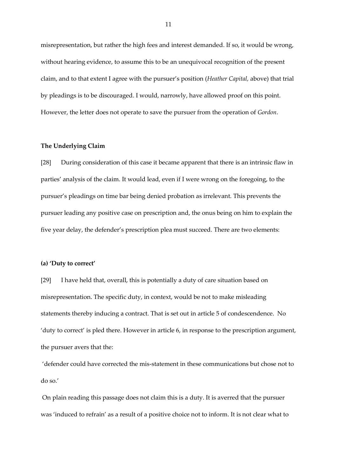misrepresentation, but rather the high fees and interest demanded. If so, it would be wrong, without hearing evidence, to assume this to be an unequivocal recognition of the present claim, and to that extent I agree with the pursuer's position (*Heather Capital,* above) that trial by pleadings is to be discouraged. I would, narrowly, have allowed proof on this point. However, the letter does not operate to save the pursuer from the operation of *Gordon*.

## **The Underlying Claim**

[28] During consideration of this case it became apparent that there is an intrinsic flaw in parties' analysis of the claim. It would lead, even if I were wrong on the foregoing, to the pursuer's pleadings on time bar being denied probation as irrelevant. This prevents the pursuer leading any positive case on prescription and, the onus being on him to explain the five year delay, the defender's prescription plea must succeed. There are two elements:

#### **(a) 'Duty to correct'**

[29] I have held that, overall, this is potentially a duty of care situation based on misrepresentation. The specific duty, in context, would be not to make misleading statements thereby inducing a contract. That is set out in article 5 of condescendence. No 'duty to correct' is pled there. However in article 6, in response to the prescription argument, the pursuer avers that the:

'defender could have corrected the mis-statement in these communications but chose not to do so.'

On plain reading this passage does not claim this is a duty. It is averred that the pursuer was 'induced to refrain' as a result of a positive choice not to inform. It is not clear what to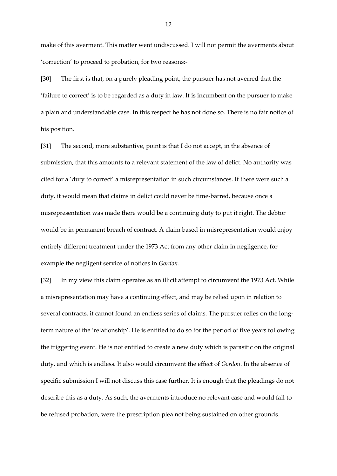make of this averment. This matter went undiscussed. I will not permit the averments about 'correction' to proceed to probation, for two reasons:-

[30] The first is that, on a purely pleading point, the pursuer has not averred that the 'failure to correct' is to be regarded as a duty in law. It is incumbent on the pursuer to make a plain and understandable case. In this respect he has not done so. There is no fair notice of his position.

[31] The second, more substantive, point is that I do not accept, in the absence of submission, that this amounts to a relevant statement of the law of delict. No authority was cited for a 'duty to correct' a misrepresentation in such circumstances. If there were such a duty, it would mean that claims in delict could never be time-barred, because once a misrepresentation was made there would be a continuing duty to put it right. The debtor would be in permanent breach of contract. A claim based in misrepresentation would enjoy entirely different treatment under the 1973 Act from any other claim in negligence, for example the negligent service of notices in *Gordon*.

[32] In my view this claim operates as an illicit attempt to circumvent the 1973 Act. While a misrepresentation may have a continuing effect, and may be relied upon in relation to several contracts, it cannot found an endless series of claims. The pursuer relies on the longterm nature of the 'relationship'. He is entitled to do so for the period of five years following the triggering event. He is not entitled to create a new duty which is parasitic on the original duty, and which is endless. It also would circumvent the effect of *Gordon*. In the absence of specific submission I will not discuss this case further. It is enough that the pleadings do not describe this as a duty. As such, the averments introduce no relevant case and would fall to be refused probation, were the prescription plea not being sustained on other grounds.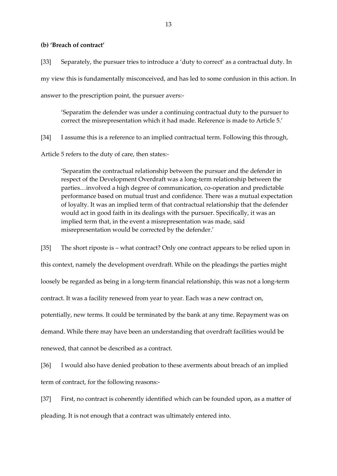# **(b) 'Breach of contract'**

[33] Separately, the pursuer tries to introduce a 'duty to correct' as a contractual duty. In my view this is fundamentally misconceived, and has led to some confusion in this action. In answer to the prescription point, the pursuer avers:-

'Separatim the defender was under a continuing contractual duty to the pursuer to correct the misrepresentation which it had made. Reference is made to Article 5.'

[34] I assume this is a reference to an implied contractual term. Following this through,

Article 5 refers to the duty of care, then states:-

'Separatim the contractual relationship between the pursuer and the defender in respect of the Development Overdraft was a long-term relationship between the parties…involved a high degree of communication, co-operation and predictable performance based on mutual trust and confidence. There was a mutual expectation of loyalty. It was an implied term of that contractual relationship that the defender would act in good faith in its dealings with the pursuer. Specifically, it was an implied term that, in the event a misrepresentation was made, said misrepresentation would be corrected by the defender.'

[35] The short riposte is – what contract? Only one contract appears to be relied upon in this context, namely the development overdraft. While on the pleadings the parties might loosely be regarded as being in a long-term financial relationship, this was not a long-term contract. It was a facility renewed from year to year. Each was a new contract on, potentially, new terms. It could be terminated by the bank at any time. Repayment was on demand. While there may have been an understanding that overdraft facilities would be renewed, that cannot be described as a contract.

[36] I would also have denied probation to these averments about breach of an implied term of contract, for the following reasons:-

[37] First, no contract is coherently identified which can be founded upon, as a matter of pleading. It is not enough that a contract was ultimately entered into.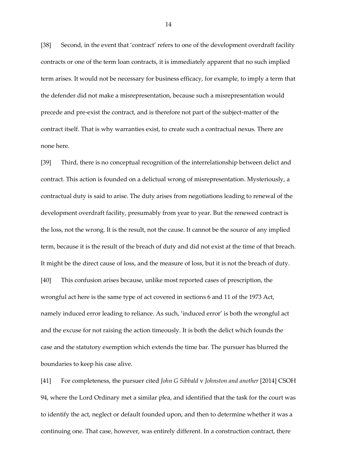[38] Second, in the event that 'contract' refers to one of the development overdraft facility contracts or one of the term loan contracts, it is immediately apparent that no such implied term arises. It would not be necessary for business efficacy, for example, to imply a term that the defender did not make a misrepresentation, because such a misrepresentation would precede and pre-exist the contract, and is therefore not part of the subject-matter of the contract itself. That is why warranties exist, to create such a contractual nexus. There are none here.

[39] Third, there is no conceptual recognition of the interrelationship between delict and contract. This action is founded on a delictual wrong of misrepresentation. Mysteriously, a contractual duty is said to arise. The duty arises from negotiations leading to renewal of the development overdraft facility, presumably from year to year. But the renewed contract is the loss, not the wrong. It is the result, not the cause. It cannot be the source of any implied term, because it is the result of the breach of duty and did not exist at the time of that breach. It might be the direct cause of loss, and the measure of loss, but it is not the breach of duty. [40] This confusion arises because, unlike most reported cases of prescription, the wrongful act here is the same type of act covered in sections 6 and 11 of the 1973 Act, namely induced error leading to reliance. As such, 'induced error' is both the wrongful act and the excuse for not raising the action timeously. It is both the delict which founds the case and the statutory exemption which extends the time bar. The pursuer has blurred the boundaries to keep his case alive.

[41] For completeness, the pursuer cited *John G Sibbald* v *Johnston and another* [2014] CSOH 94, where the Lord Ordinary met a similar plea, and identified that the task for the court was to identify the act, neglect or default founded upon, and then to determine whether it was a continuing one. That case, however, was entirely different. In a construction contract, there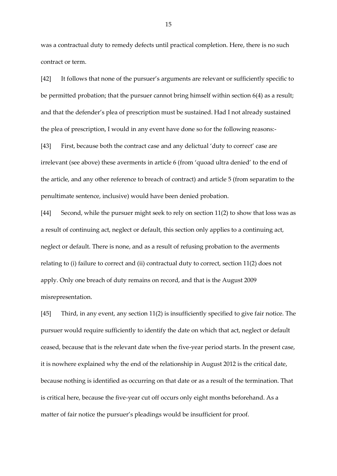was a contractual duty to remedy defects until practical completion. Here, there is no such contract or term.

[42] It follows that none of the pursuer's arguments are relevant or sufficiently specific to be permitted probation; that the pursuer cannot bring himself within section 6(4) as a result; and that the defender's plea of prescription must be sustained. Had I not already sustained the plea of prescription, I would in any event have done so for the following reasons:-

[43] First, because both the contract case and any delictual 'duty to correct' case are irrelevant (see above) these averments in article 6 (from 'quoad ultra denied' to the end of the article, and any other reference to breach of contract) and article 5 (from separatim to the penultimate sentence, inclusive) would have been denied probation.

[44] Second, while the pursuer might seek to rely on section 11(2) to show that loss was as a result of continuing act, neglect or default, this section only applies to a continuing act, neglect or default. There is none, and as a result of refusing probation to the averments relating to (i) failure to correct and (ii) contractual duty to correct, section 11(2) does not apply. Only one breach of duty remains on record, and that is the August 2009 misrepresentation.

[45] Third, in any event, any section 11(2) is insufficiently specified to give fair notice. The pursuer would require sufficiently to identify the date on which that act, neglect or default ceased, because that is the relevant date when the five-year period starts. In the present case, it is nowhere explained why the end of the relationship in August 2012 is the critical date, because nothing is identified as occurring on that date or as a result of the termination. That is critical here, because the five-year cut off occurs only eight months beforehand. As a matter of fair notice the pursuer's pleadings would be insufficient for proof.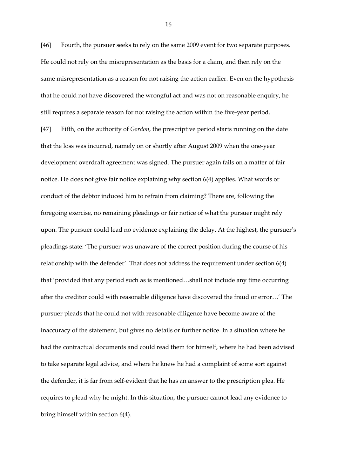[46] Fourth, the pursuer seeks to rely on the same 2009 event for two separate purposes. He could not rely on the misrepresentation as the basis for a claim, and then rely on the same misrepresentation as a reason for not raising the action earlier. Even on the hypothesis that he could not have discovered the wrongful act and was not on reasonable enquiry, he still requires a separate reason for not raising the action within the five-year period.

[47] Fifth, on the authority of *Gordon*, the prescriptive period starts running on the date that the loss was incurred, namely on or shortly after August 2009 when the one-year development overdraft agreement was signed. The pursuer again fails on a matter of fair notice. He does not give fair notice explaining why section 6(4) applies. What words or conduct of the debtor induced him to refrain from claiming? There are, following the foregoing exercise, no remaining pleadings or fair notice of what the pursuer might rely upon. The pursuer could lead no evidence explaining the delay. At the highest, the pursuer's pleadings state: 'The pursuer was unaware of the correct position during the course of his relationship with the defender'. That does not address the requirement under section 6(4) that 'provided that any period such as is mentioned…shall not include any time occurring after the creditor could with reasonable diligence have discovered the fraud or error…' The pursuer pleads that he could not with reasonable diligence have become aware of the inaccuracy of the statement, but gives no details or further notice. In a situation where he had the contractual documents and could read them for himself, where he had been advised to take separate legal advice, and where he knew he had a complaint of some sort against the defender, it is far from self-evident that he has an answer to the prescription plea. He requires to plead why he might. In this situation, the pursuer cannot lead any evidence to bring himself within section 6(4).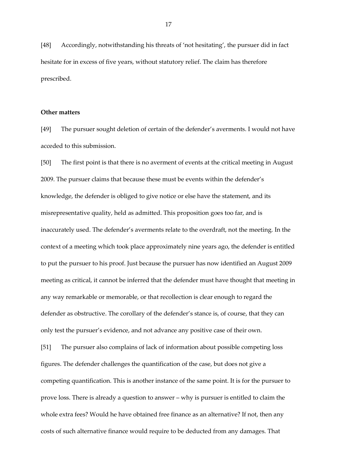[48] Accordingly, notwithstanding his threats of 'not hesitating', the pursuer did in fact hesitate for in excess of five years, without statutory relief. The claim has therefore prescribed.

#### **Other matters**

[49] The pursuer sought deletion of certain of the defender's averments. I would not have acceded to this submission.

[50] The first point is that there is no averment of events at the critical meeting in August 2009. The pursuer claims that because these must be events within the defender's knowledge, the defender is obliged to give notice or else have the statement, and its misrepresentative quality, held as admitted. This proposition goes too far, and is inaccurately used. The defender's averments relate to the overdraft, not the meeting. In the context of a meeting which took place approximately nine years ago, the defender is entitled to put the pursuer to his proof. Just because the pursuer has now identified an August 2009 meeting as critical, it cannot be inferred that the defender must have thought that meeting in any way remarkable or memorable, or that recollection is clear enough to regard the defender as obstructive. The corollary of the defender's stance is, of course, that they can only test the pursuer's evidence, and not advance any positive case of their own.

[51] The pursuer also complains of lack of information about possible competing loss figures. The defender challenges the quantification of the case, but does not give a competing quantification. This is another instance of the same point. It is for the pursuer to prove loss. There is already a question to answer – why is pursuer is entitled to claim the whole extra fees? Would he have obtained free finance as an alternative? If not, then any costs of such alternative finance would require to be deducted from any damages. That